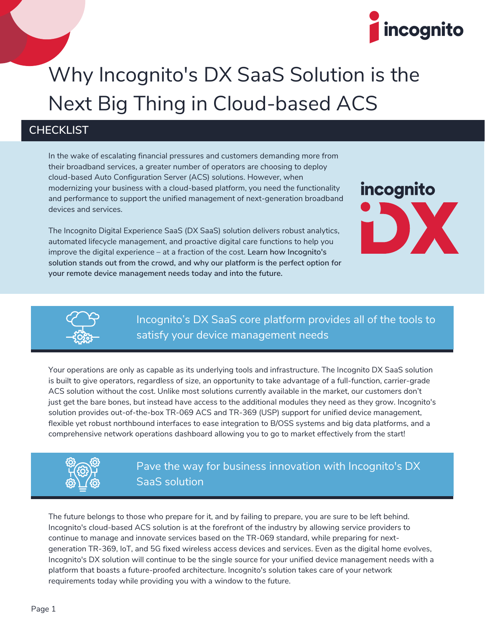

## Why Incognito's DX SaaS Solution is the Next Big Thing in Cloud-based ACS

## **CHECKLIST**

In the wake of escalating financial pressures and customers demanding more from their broadband services, a greater number of operators are choosing to deploy cloud-based Auto Configuration Server (ACS) solutions. However, when modernizing your business with a cloud-based platform, you need the functionality and performance to support the unified management of next-generation broadband devices and services.

The Incognito Digital Experience SaaS (DX SaaS) solution delivers robust analytics, automated lifecycle management, and proactive digital care functions to help you improve the digital experience – at a fraction of the cost. **Learn how Incognito's solution stands out from the crowd, and why our platform is the perfect option for your remote device management needs today and into the future.**





Incognito's DX SaaS core platform provides all of the tools to satisfy your device management needs

Your operations are only as capable as its underlying tools and infrastructure. The Incognito DX SaaS solution is built to give operators, regardless of size, an opportunity to take advantage of a full-function, carrier-grade ACS solution without the cost. Unlike most solutions currently available in the market, our customers don't just get the bare bones, but instead have access to the additional modules they need as they grow. Incognito's solution provides out-of-the-box TR-069 ACS and TR-369 (USP) support for unified device management, flexible yet robust northbound interfaces to ease integration to B/OSS systems and big data platforms, and a comprehensive network operations dashboard allowing you to go to market effectively from the start!



Pave the way for business innovation with Incognito's DX SaaS solution

The future belongs to those who prepare for it, and by failing to prepare, you are sure to be left behind. Incognito's cloud-based ACS solution is at the forefront of the industry by allowing service providers to continue to manage and innovate services based on the TR-069 standard, while preparing for nextgeneration TR-369, IoT, and 5G fixed wireless access devices and services. Even as the digital home evolves, Incognito's DX solution will continue to be the single source for your unified device management needs with a platform that boasts a future-proofed architecture. Incognito's solution takes care of your network requirements today while providing you with a window to the future.